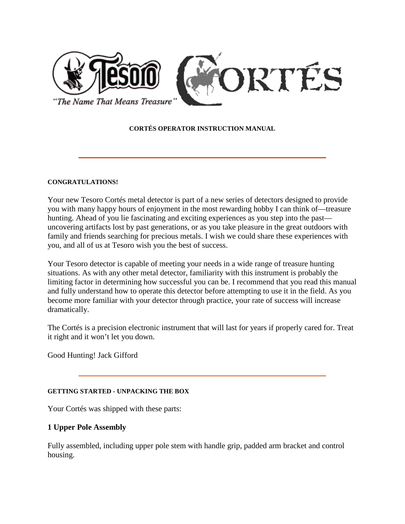

## **CORTÉS OPERATOR INSTRUCTION MANUAL**

### **CONGRATULATIONS!**

Your new Tesoro Cortés metal detector is part of a new series of detectors designed to provide you with many happy hours of enjoyment in the most rewarding hobby I can think of—treasure hunting. Ahead of you lie fascinating and exciting experiences as you step into the past uncovering artifacts lost by past generations, or as you take pleasure in the great outdoors with family and friends searching for precious metals. I wish we could share these experiences with you, and all of us at Tesoro wish you the best of success.

Your Tesoro detector is capable of meeting your needs in a wide range of treasure hunting situations. As with any other metal detector, familiarity with this instrument is probably the limiting factor in determining how successful you can be. I recommend that you read this manual and fully understand how to operate this detector before attempting to use it in the field. As you become more familiar with your detector through practice, your rate of success will increase dramatically.

The Cortés is a precision electronic instrument that will last for years if properly cared for. Treat it right and it won't let you down.

Good Hunting! Jack Gifford

## **GETTING STARTED - UNPACKING THE BOX**

Your Cortés was shipped with these parts:

## **1 Upper Pole Assembly**

Fully assembled, including upper pole stem with handle grip, padded arm bracket and control housing.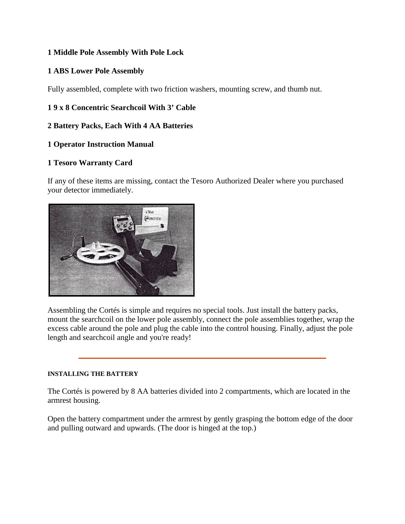# **1 Middle Pole Assembly With Pole Lock**

# **1 ABS Lower Pole Assembly**

Fully assembled, complete with two friction washers, mounting screw, and thumb nut.

# **1 9 x 8 Concentric Searchcoil With 3' Cable**

## **2 Battery Packs, Each With 4 AA Batteries**

# **1 Operator Instruction Manual**

# **1 Tesoro Warranty Card**

If any of these items are missing, contact the Tesoro Authorized Dealer where you purchased your detector immediately.



Assembling the Cortés is simple and requires no special tools. Just install the battery packs, mount the searchcoil on the lower pole assembly, connect the pole assemblies together, wrap the excess cable around the pole and plug the cable into the control housing. Finally, adjust the pole length and searchcoil angle and you're ready!

## **INSTALLING THE BATTERY**

The Cortés is powered by 8 AA batteries divided into 2 compartments, which are located in the armrest housing.

Open the battery compartment under the armrest by gently grasping the bottom edge of the door and pulling outward and upwards. (The door is hinged at the top.)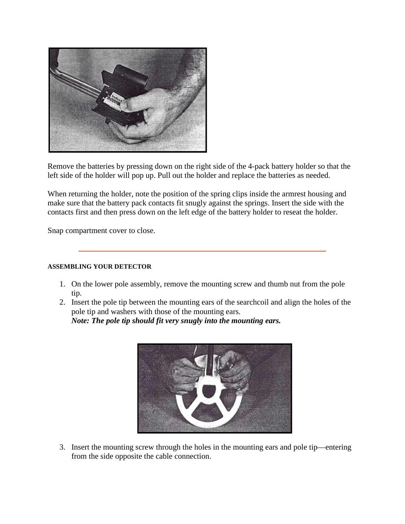

Remove the batteries by pressing down on the right side of the 4-pack battery holder so that the left side of the holder will pop up. Pull out the holder and replace the batteries as needed.

When returning the holder, note the position of the spring clips inside the armrest housing and make sure that the battery pack contacts fit snugly against the springs. Insert the side with the contacts first and then press down on the left edge of the battery holder to reseat the holder.

Snap compartment cover to close.

## **ASSEMBLING YOUR DETECTOR**

- 1. On the lower pole assembly, remove the mounting screw and thumb nut from the pole tip.
- 2. Insert the pole tip between the mounting ears of the searchcoil and align the holes of the pole tip and washers with those of the mounting ears. *Note: The pole tip should fit very snugly into the mounting ears.*



3. Insert the mounting screw through the holes in the mounting ears and pole tip—entering from the side opposite the cable connection.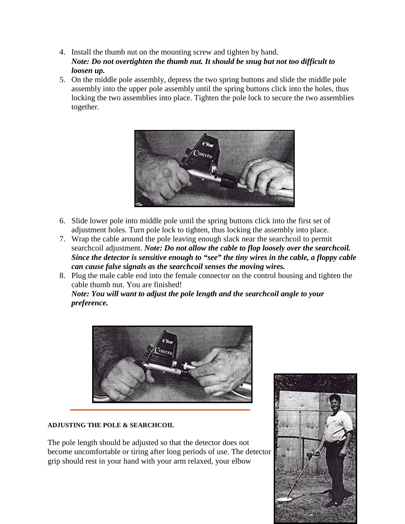- 4. Install the thumb nut on the mounting screw and tighten by hand. *Note: Do not overtighten the thumb nut. It should be snug but not too difficult to loosen up.*
- 5. On the middle pole assembly, depress the two spring buttons and slide the middle pole assembly into the upper pole assembly until the spring buttons click into the holes, thus locking the two assemblies into place. Tighten the pole lock to secure the two assemblies together.



- 6. Slide lower pole into middle pole until the spring buttons click into the first set of adjustment holes. Turn pole lock to tighten, thus locking the assembly into place.
- 7. Wrap the cable around the pole leaving enough slack near the searchcoil to permit searchcoil adjustment. *Note: Do not allow the cable to flop loosely over the searchcoil. Since the detector is sensitive enough to "see" the tiny wires in the cable, a floppy cable can cause false signals as the searchcoil senses the moving wires.*
- 8. Plug the male cable end into the female connector on the control housing and tighten the cable thumb nut. You are finished!

*Note: You will want to adjust the pole length and the searchcoil angle to your preference.*



## **ADJUSTING THE POLE & SEARCHCOIL**

The pole length should be adjusted so that the detector does not become uncomfortable or tiring after long periods of use. The detector grip should rest in your hand with your arm relaxed, your elbow

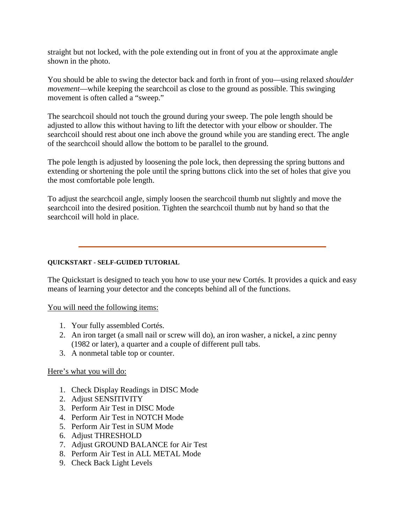straight but not locked, with the pole extending out in front of you at the approximate angle shown in the photo.

You should be able to swing the detector back and forth in front of you—using relaxed *shoulder movement*—while keeping the searchcoil as close to the ground as possible. This swinging movement is often called a "sweep."

The searchcoil should not touch the ground during your sweep. The pole length should be adjusted to allow this without having to lift the detector with your elbow or shoulder. The searchcoil should rest about one inch above the ground while you are standing erect. The angle of the searchcoil should allow the bottom to be parallel to the ground.

The pole length is adjusted by loosening the pole lock, then depressing the spring buttons and extending or shortening the pole until the spring buttons click into the set of holes that give you the most comfortable pole length.

To adjust the searchcoil angle, simply loosen the searchcoil thumb nut slightly and move the searchcoil into the desired position. Tighten the searchcoil thumb nut by hand so that the searchcoil will hold in place.

## **QUICKSTART - SELF-GUIDED TUTORIAL**

The Quickstart is designed to teach you how to use your new Cortés. It provides a quick and easy means of learning your detector and the concepts behind all of the functions.

You will need the following items:

- 1. Your fully assembled Cortés.
- 2. An iron target (a small nail or screw will do), an iron washer, a nickel, a zinc penny (1982 or later), a quarter and a couple of different pull tabs.
- 3. A nonmetal table top or counter.

## Here's what you will do:

- 1. Check Display Readings in DISC Mode
- 2. Adjust SENSITIVITY
- 3. Perform Air Test in DISC Mode
- 4. Perform Air Test in NOTCH Mode
- 5. Perform Air Test in SUM Mode
- 6. Adjust THRESHOLD
- 7. Adjust GROUND BALANCE for Air Test
- 8. Perform Air Test in ALL METAL Mode
- 9. Check Back Light Levels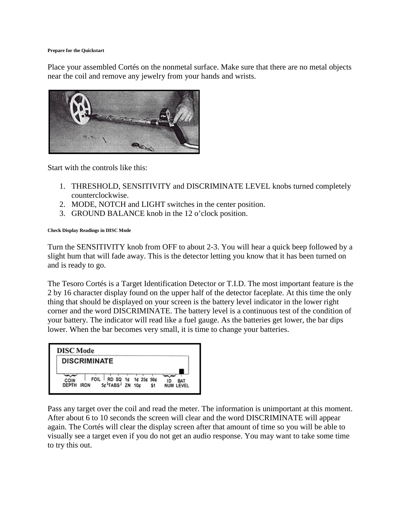#### **Prepare for the Quickstart**

Place your assembled Cortés on the nonmetal surface. Make sure that there are no metal objects near the coil and remove any jewelry from your hands and wrists.



Start with the controls like this:

- 1. THRESHOLD, SENSITIVITY and DISCRIMINATE LEVEL knobs turned completely counterclockwise.
- 2. MODE, NOTCH and LIGHT switches in the center position.
- 3. GROUND BALANCE knob in the 12 o'clock position.

#### **Check Display Readings in DISC Mode**

Turn the SENSITIVITY knob from OFF to about 2-3. You will hear a quick beep followed by a slight hum that will fade away. This is the detector letting you know that it has been turned on and is ready to go.

The Tesoro Cortés is a Target Identification Detector or T.I.D. The most important feature is the 2 by 16 character display found on the upper half of the detector faceplate. At this time the only thing that should be displayed on your screen is the battery level indicator in the lower right corner and the word DISCRIMINATE. The battery level is a continuous test of the condition of your battery. The indicator will read like a fuel gauge. As the batteries get lower, the bar dips lower. When the bar becomes very small, it is time to change your batteries.



Pass any target over the coil and read the meter. The information is unimportant at this moment. After about 6 to 10 seconds the screen will clear and the word DISCRIMINATE will appear again. The Cortés will clear the display screen after that amount of time so you will be able to visually see a target even if you do not get an audio response. You may want to take some time to try this out.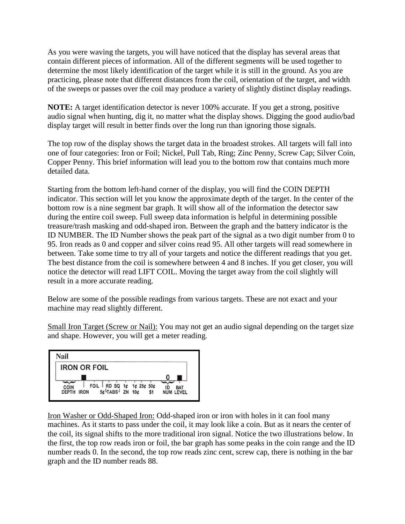As you were waving the targets, you will have noticed that the display has several areas that contain different pieces of information. All of the different segments will be used together to determine the most likely identification of the target while it is still in the ground. As you are practicing, please note that different distances from the coil, orientation of the target, and width of the sweeps or passes over the coil may produce a variety of slightly distinct display readings.

**NOTE:** A target identification detector is never 100% accurate. If you get a strong, positive audio signal when hunting, dig it, no matter what the display shows. Digging the good audio/bad display target will result in better finds over the long run than ignoring those signals.

The top row of the display shows the target data in the broadest strokes. All targets will fall into one of four categories: Iron or Foil; Nickel, Pull Tab, Ring; Zinc Penny, Screw Cap; Silver Coin, Copper Penny. This brief information will lead you to the bottom row that contains much more detailed data.

Starting from the bottom left-hand corner of the display, you will find the COIN DEPTH indicator. This section will let you know the approximate depth of the target. In the center of the bottom row is a nine segment bar graph. It will show all of the information the detector saw during the entire coil sweep. Full sweep data information is helpful in determining possible treasure/trash masking and odd-shaped iron. Between the graph and the battery indicator is the ID NUMBER. The ID Number shows the peak part of the signal as a two digit number from 0 to 95. Iron reads as 0 and copper and silver coins read 95. All other targets will read somewhere in between. Take some time to try all of your targets and notice the different readings that you get. The best distance from the coil is somewhere between 4 and 8 inches. If you get closer, you will notice the detector will read LIFT COIL. Moving the target away from the coil slightly will result in a more accurate reading.

Below are some of the possible readings from various targets. These are not exact and your machine may read slightly different.

Small Iron Target (Screw or Nail): You may not get an audio signal depending on the target size and shape. However, you will get a meter reading.



Iron Washer or Odd-Shaped Iron: Odd-shaped iron or iron with holes in it can fool many machines. As it starts to pass under the coil, it may look like a coin. But as it nears the center of the coil, its signal shifts to the more traditional iron signal. Notice the two illustrations below. In the first, the top row reads iron or foil, the bar graph has some peaks in the coin range and the ID number reads 0. In the second, the top row reads zinc cent, screw cap, there is nothing in the bar graph and the ID number reads 88.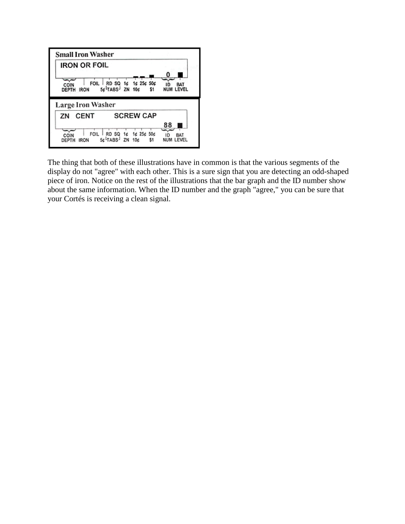

The thing that both of these illustrations have in common is that the various segments of the display do not "agree" with each other. This is a sure sign that you are detecting an odd-shaped piece of iron. Notice on the rest of the illustrations that the bar graph and the ID number show about the same information. When the ID number and the graph "agree," you can be sure that your Cortés is receiving a clean signal.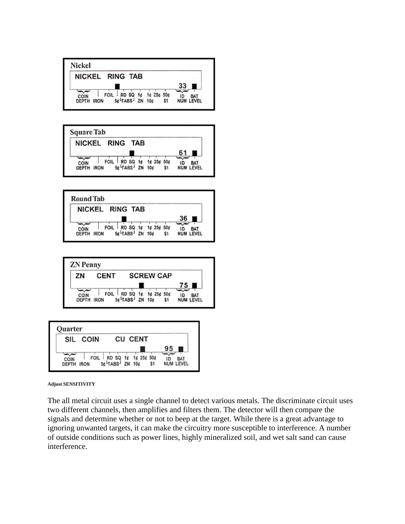









#### **Adjust SENSITIVITY**

The all metal circuit uses a single channel to detect various metals. The discriminate circuit uses two different channels, then amplifies and filters them. The detector will then compare the signals and determine whether or not to beep at the target. While there is a great advantage to ignoring unwanted targets, it can make the circuitry more susceptible to interference. A number of outside conditions such as power lines, highly mineralized soil, and wet salt sand can cause interference.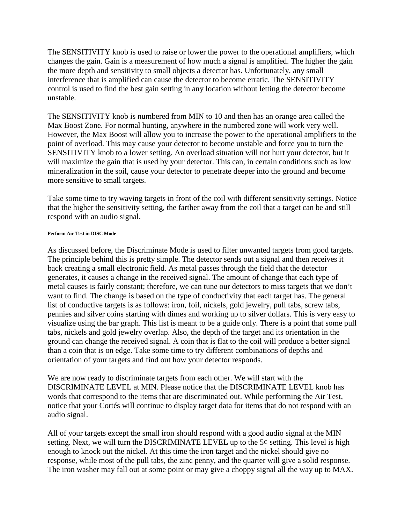The SENSITIVITY knob is used to raise or lower the power to the operational amplifiers, which changes the gain. Gain is a measurement of how much a signal is amplified. The higher the gain the more depth and sensitivity to small objects a detector has. Unfortunately, any small interference that is amplified can cause the detector to become erratic. The SENSITIVITY control is used to find the best gain setting in any location without letting the detector become unstable.

The SENSITIVITY knob is numbered from MIN to 10 and then has an orange area called the Max Boost Zone. For normal hunting, anywhere in the numbered zone will work very well. However, the Max Boost will allow you to increase the power to the operational amplifiers to the point of overload. This may cause your detector to become unstable and force you to turn the SENSITIVITY knob to a lower setting. An overload situation will not hurt your detector, but it will maximize the gain that is used by your detector. This can, in certain conditions such as low mineralization in the soil, cause your detector to penetrate deeper into the ground and become more sensitive to small targets.

Take some time to try waving targets in front of the coil with different sensitivity settings. Notice that the higher the sensitivity setting, the farther away from the coil that a target can be and still respond with an audio signal.

### **Perform Air Test in DISC Mode**

As discussed before, the Discriminate Mode is used to filter unwanted targets from good targets. The principle behind this is pretty simple. The detector sends out a signal and then receives it back creating a small electronic field. As metal passes through the field that the detector generates, it causes a change in the received signal. The amount of change that each type of metal causes is fairly constant; therefore, we can tune our detectors to miss targets that we don't want to find. The change is based on the type of conductivity that each target has. The general list of conductive targets is as follows: iron, foil, nickels, gold jewelry, pull tabs, screw tabs, pennies and silver coins starting with dimes and working up to silver dollars. This is very easy to visualize using the bar graph. This list is meant to be a guide only. There is a point that some pull tabs, nickels and gold jewelry overlap. Also, the depth of the target and its orientation in the ground can change the received signal. A coin that is flat to the coil will produce a better signal than a coin that is on edge. Take some time to try different combinations of depths and orientation of your targets and find out how your detector responds.

We are now ready to discriminate targets from each other. We will start with the DISCRIMINATE LEVEL at MIN. Please notice that the DISCRIMINATE LEVEL knob has words that correspond to the items that are discriminated out. While performing the Air Test, notice that your Cortés will continue to display target data for items that do not respond with an audio signal.

All of your targets except the small iron should respond with a good audio signal at the MIN setting. Next, we will turn the DISCRIMINATE LEVEL up to the  $5¢$  setting. This level is high enough to knock out the nickel. At this time the iron target and the nickel should give no response, while most of the pull tabs, the zinc penny, and the quarter will give a solid response. The iron washer may fall out at some point or may give a choppy signal all the way up to MAX.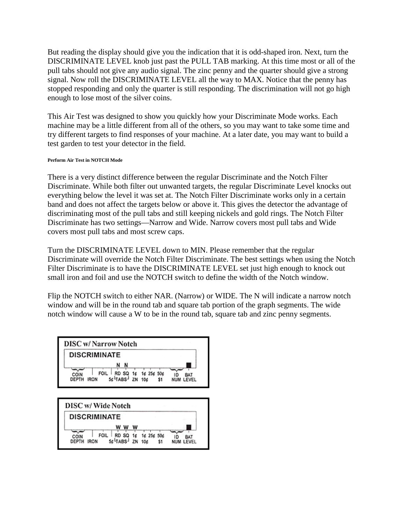But reading the display should give you the indication that it is odd-shaped iron. Next, turn the DISCRIMINATE LEVEL knob just past the PULL TAB marking. At this time most or all of the pull tabs should not give any audio signal. The zinc penny and the quarter should give a strong signal. Now roll the DISCRIMINATE LEVEL all the way to MAX. Notice that the penny has stopped responding and only the quarter is still responding. The discrimination will not go high enough to lose most of the silver coins.

This Air Test was designed to show you quickly how your Discriminate Mode works. Each machine may be a little different from all of the others, so you may want to take some time and try different targets to find responses of your machine. At a later date, you may want to build a test garden to test your detector in the field.

#### **Perform Air Test in NOTCH Mode**

There is a very distinct difference between the regular Discriminate and the Notch Filter Discriminate. While both filter out unwanted targets, the regular Discriminate Level knocks out everything below the level it was set at. The Notch Filter Discriminate works only in a certain band and does not affect the targets below or above it. This gives the detector the advantage of discriminating most of the pull tabs and still keeping nickels and gold rings. The Notch Filter Discriminate has two settings—Narrow and Wide. Narrow covers most pull tabs and Wide covers most pull tabs and most screw caps.

Turn the DISCRIMINATE LEVEL down to MIN. Please remember that the regular Discriminate will override the Notch Filter Discriminate. The best settings when using the Notch Filter Discriminate is to have the DISCRIMINATE LEVEL set just high enough to knock out small iron and foil and use the NOTCH switch to define the width of the Notch window.

Flip the NOTCH switch to either NAR. (Narrow) or WIDE. The N will indicate a narrow notch window and will be in the round tab and square tab portion of the graph segments. The wide notch window will cause a W to be in the round tab, square tab and zinc penny segments.

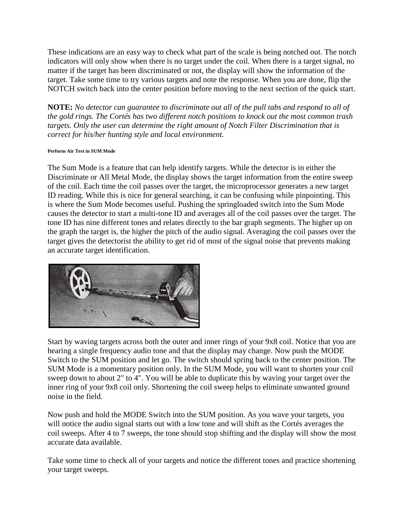These indications are an easy way to check what part of the scale is being notched out. The notch indicators will only show when there is no target under the coil. When there is a target signal, no matter if the target has been discriminated or not, the display will show the information of the target. Take some time to try various targets and note the response. When you are done, flip the NOTCH switch back into the center position before moving to the next section of the quick start.

**NOTE:** *No detector can guarantee to discriminate out all of the pull tabs and respond to all of the gold rings. The Cortés has two different notch positions to knock out the most common trash targets. Only the user can determine the right amount of Notch Filter Discrimination that is correct for his/her hunting style and local environment.*

## **Perform Air Test in SUM Mode**

The Sum Mode is a feature that can help identify targets. While the detector is in either the Discriminate or All Metal Mode, the display shows the target information from the entire sweep of the coil. Each time the coil passes over the target, the microprocessor generates a new target ID reading. While this is nice for general searching, it can be confusing while pinpointing. This is where the Sum Mode becomes useful. Pushing the springloaded switch into the Sum Mode causes the detector to start a multi-tone ID and averages all of the coil passes over the target. The tone ID has nine different tones and relates directly to the bar graph segments. The higher up on the graph the target is, the higher the pitch of the audio signal. Averaging the coil passes over the target gives the detectorist the ability to get rid of most of the signal noise that prevents making an accurate target identification.



Start by waving targets across both the outer and inner rings of your 9x8 coil. Notice that you are hearing a single frequency audio tone and that the display may change. Now push the MODE Switch to the SUM position and let go. The switch should spring back to the center position. The SUM Mode is a momentary position only. In the SUM Mode, you will want to shorten your coil sweep down to about 2" to 4". You will be able to duplicate this by waving your target over the inner ring of your 9x8 coil only. Shortening the coil sweep helps to eliminate unwanted ground noise in the field.

Now push and hold the MODE Switch into the SUM position. As you wave your targets, you will notice the audio signal starts out with a low tone and will shift as the Cortés averages the coil sweeps. After 4 to 7 sweeps, the tone should stop shifting and the display will show the most accurate data available.

Take some time to check all of your targets and notice the different tones and practice shortening your target sweeps.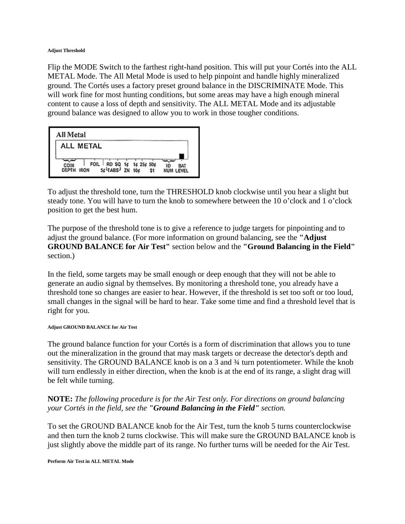#### **Adjust Threshold**

Flip the MODE Switch to the farthest right-hand position. This will put your Cortés into the ALL METAL Mode. The All Metal Mode is used to help pinpoint and handle highly mineralized ground. The Cortés uses a factory preset ground balance in the DISCRIMINATE Mode. This will work fine for most hunting conditions, but some areas may have a high enough mineral content to cause a loss of depth and sensitivity. The ALL METAL Mode and its adjustable ground balance was designed to allow you to work in those tougher conditions.

| All Metal     |                                                                          |            |                               |
|---------------|--------------------------------------------------------------------------|------------|-------------------------------|
|               | ALL METAL                                                                |            |                               |
| COIN<br>DEPTH | FOIL RD SQ 1¢<br>SE <sup>L</sup> TABS <sup>J</sup> ZN 10¢<br><b>IRON</b> | 1¢ 25¢ 50¢ | ID<br>BAT<br><b>NUM LEVEL</b> |

To adjust the threshold tone, turn the THRESHOLD knob clockwise until you hear a slight but steady tone. You will have to turn the knob to somewhere between the 10 o'clock and 1 o'clock position to get the best hum.

The purpose of the threshold tone is to give a reference to judge targets for pinpointing and to adjust the ground balance. (For more information on ground balancing, see the **"Adjust GROUND BALANCE for Air Test"** section below and the **"Ground Balancing in the Field"** section.)

In the field, some targets may be small enough or deep enough that they will not be able to generate an audio signal by themselves. By monitoring a threshold tone, you already have a threshold tone so changes are easier to hear. However, if the threshold is set too soft or too loud, small changes in the signal will be hard to hear. Take some time and find a threshold level that is right for you.

#### **Adjust GROUND BALANCE for Air Test**

The ground balance function for your Cortés is a form of discrimination that allows you to tune out the mineralization in the ground that may mask targets or decrease the detector's depth and sensitivity. The GROUND BALANCE knob is on a 3 and  $\frac{3}{4}$  turn potentiometer. While the knob will turn endlessly in either direction, when the knob is at the end of its range, a slight drag will be felt while turning.

## **NOTE:** *The following procedure is for the Air Test only. For directions on ground balancing your Cortés in the field, see the "Ground Balancing in the Field" section.*

To set the GROUND BALANCE knob for the Air Test, turn the knob 5 turns counterclockwise and then turn the knob 2 turns clockwise. This will make sure the GROUND BALANCE knob is just slightly above the middle part of its range. No further turns will be needed for the Air Test.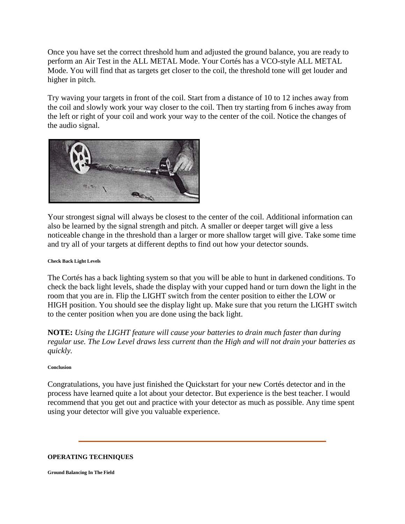Once you have set the correct threshold hum and adjusted the ground balance, you are ready to perform an Air Test in the ALL METAL Mode. Your Cortés has a VCO-style ALL METAL Mode. You will find that as targets get closer to the coil, the threshold tone will get louder and higher in pitch.

Try waving your targets in front of the coil. Start from a distance of 10 to 12 inches away from the coil and slowly work your way closer to the coil. Then try starting from 6 inches away from the left or right of your coil and work your way to the center of the coil. Notice the changes of the audio signal.



Your strongest signal will always be closest to the center of the coil. Additional information can also be learned by the signal strength and pitch. A smaller or deeper target will give a less noticeable change in the threshold than a larger or more shallow target will give. Take some time and try all of your targets at different depths to find out how your detector sounds.

## **Check Back Light Levels**

The Cortés has a back lighting system so that you will be able to hunt in darkened conditions. To check the back light levels, shade the display with your cupped hand or turn down the light in the room that you are in. Flip the LIGHT switch from the center position to either the LOW or HIGH position. You should see the display light up. Make sure that you return the LIGHT switch to the center position when you are done using the back light.

**NOTE:** *Using the LIGHT feature will cause your batteries to drain much faster than during regular use. The Low Level draws less current than the High and will not drain your batteries as quickly.*

#### **Conclusion**

Congratulations, you have just finished the Quickstart for your new Cortés detector and in the process have learned quite a lot about your detector. But experience is the best teacher. I would recommend that you get out and practice with your detector as much as possible. Any time spent using your detector will give you valuable experience.

## **OPERATING TECHNIQUES**

**Ground Balancing In The Field**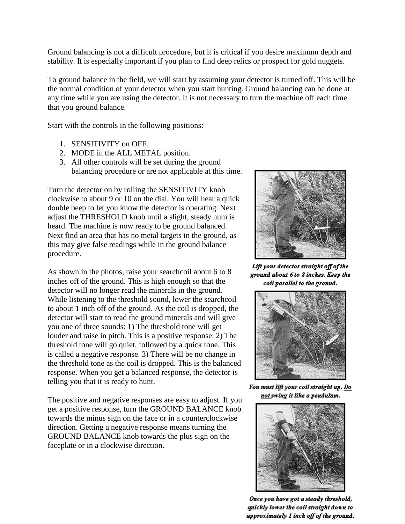Ground balancing is not a difficult procedure, but it is critical if you desire maximum depth and stability. It is especially important if you plan to find deep relics or prospect for gold nuggets.

To ground balance in the field, we will start by assuming your detector is turned off. This will be the normal condition of your detector when you start hunting. Ground balancing can be done at any time while you are using the detector. It is not necessary to turn the machine off each time that you ground balance.

Start with the controls in the following positions:

- 1. SENSITIVITY on OFF.
- 2. MODE in the ALL METAL position.
- 3. All other controls will be set during the ground balancing procedure or are not applicable at this time.

Turn the detector on by rolling the SENSITIVITY knob clockwise to about 9 or 10 on the dial. You will hear a quick double beep to let you know the detector is operating. Next adjust the THRESHOLD knob until a slight, steady hum is heard. The machine is now ready to be ground balanced. Next find an area that has no metal targets in the ground, as this may give false readings while in the ground balance procedure.

As shown in the photos, raise your searchcoil about 6 to 8 inches off of the ground. This is high enough so that the detector will no longer read the minerals in the ground. While listening to the threshold sound, lower the searchcoil to about 1 inch off of the ground. As the coil is dropped, the detector will start to read the ground minerals and will give you one of three sounds: 1) The threshold tone will get louder and raise in pitch. This is a positive response. 2) The threshold tone will go quiet, followed by a quick tone. This is called a negative response. 3) There will be no change in the threshold tone as the coil is dropped. This is the balanced response. When you get a balanced response, the detector is telling you that it is ready to hunt.

The positive and negative responses are easy to adjust. If you get a positive response, turn the GROUND BALANCE knob towards the minus sign on the face or in a counterclockwise direction. Getting a negative response means turning the GROUND BALANCE knob towards the plus sign on the faceplate or in a clockwise direction.



Lift your detector straight off of the ground about 6 to 8 inches. Keep the coil parallel to the ground.



You must lift your coil straight up. Do not swing it like a pendulum.



Once you have got a steady threshold, quickly lower the coil straight down to approximately 1 inch off of the ground.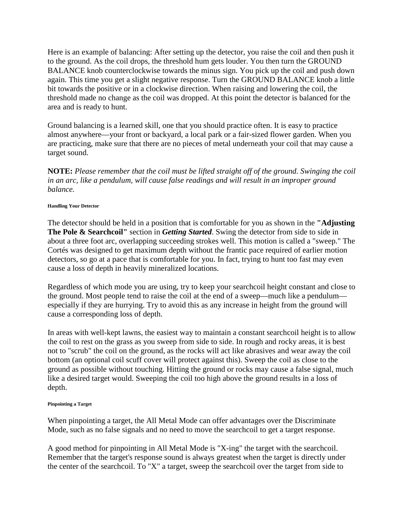Here is an example of balancing: After setting up the detector, you raise the coil and then push it to the ground. As the coil drops, the threshold hum gets louder. You then turn the GROUND BALANCE knob counterclockwise towards the minus sign. You pick up the coil and push down again. This time you get a slight negative response. Turn the GROUND BALANCE knob a little bit towards the positive or in a clockwise direction. When raising and lowering the coil, the threshold made no change as the coil was dropped. At this point the detector is balanced for the area and is ready to hunt.

Ground balancing is a learned skill, one that you should practice often. It is easy to practice almost anywhere—your front or backyard, a local park or a fair-sized flower garden. When you are practicing, make sure that there are no pieces of metal underneath your coil that may cause a target sound.

**NOTE:** *Please remember that the coil must be lifted straight off of the ground. Swinging the coil in an arc, like a pendulum, will cause false readings and will result in an improper ground balance.*

#### **Handling Your Detector**

The detector should be held in a position that is comfortable for you as shown in the **"Adjusting The Pole & Searchcoil"** section in *Getting Started*. Swing the detector from side to side in about a three foot arc, overlapping succeeding strokes well. This motion is called a "sweep." The Cortés was designed to get maximum depth without the frantic pace required of earlier motion detectors, so go at a pace that is comfortable for you. In fact, trying to hunt too fast may even cause a loss of depth in heavily mineralized locations.

Regardless of which mode you are using, try to keep your searchcoil height constant and close to the ground. Most people tend to raise the coil at the end of a sweep—much like a pendulum especially if they are hurrying. Try to avoid this as any increase in height from the ground will cause a corresponding loss of depth.

In areas with well-kept lawns, the easiest way to maintain a constant searchcoil height is to allow the coil to rest on the grass as you sweep from side to side. In rough and rocky areas, it is best not to "scrub" the coil on the ground, as the rocks will act like abrasives and wear away the coil bottom (an optional coil scuff cover will protect against this). Sweep the coil as close to the ground as possible without touching. Hitting the ground or rocks may cause a false signal, much like a desired target would. Sweeping the coil too high above the ground results in a loss of depth.

#### **Pinpointing a Target**

When pinpointing a target, the All Metal Mode can offer advantages over the Discriminate Mode, such as no false signals and no need to move the searchcoil to get a target response.

A good method for pinpointing in All Metal Mode is "X-ing" the target with the searchcoil. Remember that the target's response sound is always greatest when the target is directly under the center of the searchcoil. To "X" a target, sweep the searchcoil over the target from side to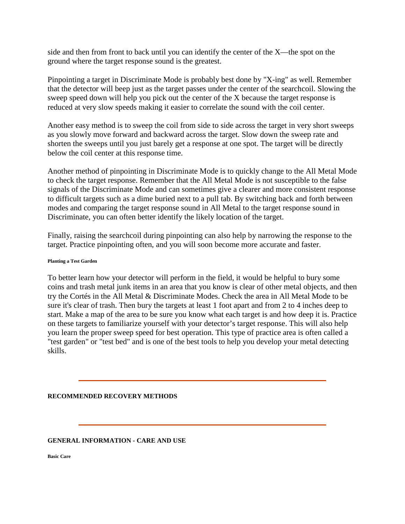side and then from front to back until you can identify the center of the X—the spot on the ground where the target response sound is the greatest.

Pinpointing a target in Discriminate Mode is probably best done by "X-ing" as well. Remember that the detector will beep just as the target passes under the center of the searchcoil. Slowing the sweep speed down will help you pick out the center of the X because the target response is reduced at very slow speeds making it easier to correlate the sound with the coil center.

Another easy method is to sweep the coil from side to side across the target in very short sweeps as you slowly move forward and backward across the target. Slow down the sweep rate and shorten the sweeps until you just barely get a response at one spot. The target will be directly below the coil center at this response time.

Another method of pinpointing in Discriminate Mode is to quickly change to the All Metal Mode to check the target response. Remember that the All Metal Mode is not susceptible to the false signals of the Discriminate Mode and can sometimes give a clearer and more consistent response to difficult targets such as a dime buried next to a pull tab. By switching back and forth between modes and comparing the target response sound in All Metal to the target response sound in Discriminate, you can often better identify the likely location of the target.

Finally, raising the searchcoil during pinpointing can also help by narrowing the response to the target. Practice pinpointing often, and you will soon become more accurate and faster.

### **Planting a Test Garden**

To better learn how your detector will perform in the field, it would be helpful to bury some coins and trash metal junk items in an area that you know is clear of other metal objects, and then try the Cortés in the All Metal & Discriminate Modes. Check the area in All Metal Mode to be sure it's clear of trash. Then bury the targets at least 1 foot apart and from 2 to 4 inches deep to start. Make a map of the area to be sure you know what each target is and how deep it is. Practice on these targets to familiarize yourself with your detector's target response. This will also help you learn the proper sweep speed for best operation. This type of practice area is often called a "test garden" or "test bed" and is one of the best tools to help you develop your metal detecting skills.

## **RECOMMENDED RECOVERY METHODS**

## **GENERAL INFORMATION - CARE AND USE**

**Basic Care**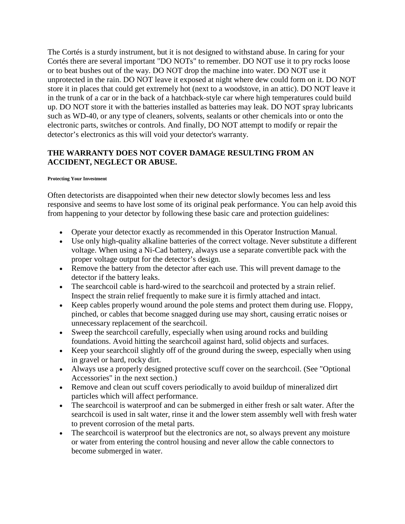The Cortés is a sturdy instrument, but it is not designed to withstand abuse. In caring for your Cortés there are several important "DO NOTs" to remember. DO NOT use it to pry rocks loose or to beat bushes out of the way. DO NOT drop the machine into water. DO NOT use it unprotected in the rain. DO NOT leave it exposed at night where dew could form on it. DO NOT store it in places that could get extremely hot (next to a woodstove, in an attic). DO NOT leave it in the trunk of a car or in the back of a hatchback-style car where high temperatures could build up. DO NOT store it with the batteries installed as batteries may leak. DO NOT spray lubricants such as WD-40, or any type of cleaners, solvents, sealants or other chemicals into or onto the electronic parts, switches or controls. And finally, DO NOT attempt to modify or repair the detector's electronics as this will void your detector's warranty.

# **THE WARRANTY DOES NOT COVER DAMAGE RESULTING FROM AN ACCIDENT, NEGLECT OR ABUSE.**

### **Protecting Your Investment**

Often detectorists are disappointed when their new detector slowly becomes less and less responsive and seems to have lost some of its original peak performance. You can help avoid this from happening to your detector by following these basic care and protection guidelines:

- Operate your detector exactly as recommended in this Operator Instruction Manual.
- Use only high-quality alkaline batteries of the correct voltage. Never substitute a different voltage. When using a Ni-Cad battery, always use a separate convertible pack with the proper voltage output for the detector's design.
- Remove the battery from the detector after each use. This will prevent damage to the detector if the battery leaks.
- The searchcoil cable is hard-wired to the searchcoil and protected by a strain relief. Inspect the strain relief frequently to make sure it is firmly attached and intact.
- Keep cables properly wound around the pole stems and protect them during use. Floppy, pinched, or cables that become snagged during use may short, causing erratic noises or unnecessary replacement of the searchcoil.
- Sweep the searchcoil carefully, especially when using around rocks and building foundations. Avoid hitting the searchcoil against hard, solid objects and surfaces.
- Keep your searchcoil slightly off of the ground during the sweep, especially when using in gravel or hard, rocky dirt.
- Always use a properly designed protective scuff cover on the searchcoil. (See "Optional Accessories" in the next section.)
- Remove and clean out scuff covers periodically to avoid buildup of mineralized dirt particles which will affect performance.
- The searchcoil is waterproof and can be submerged in either fresh or salt water. After the searchcoil is used in salt water, rinse it and the lower stem assembly well with fresh water to prevent corrosion of the metal parts.
- The searchcoil is waterproof but the electronics are not, so always prevent any moisture or water from entering the control housing and never allow the cable connectors to become submerged in water.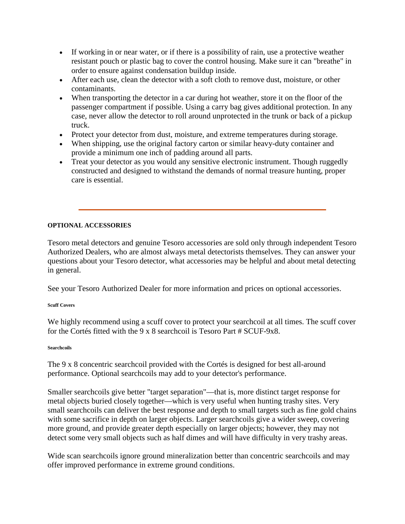- If working in or near water, or if there is a possibility of rain, use a protective weather resistant pouch or plastic bag to cover the control housing. Make sure it can "breathe" in order to ensure against condensation buildup inside.
- After each use, clean the detector with a soft cloth to remove dust, moisture, or other contaminants.
- When transporting the detector in a car during hot weather, store it on the floor of the passenger compartment if possible. Using a carry bag gives additional protection. In any case, never allow the detector to roll around unprotected in the trunk or back of a pickup truck.
- Protect your detector from dust, moisture, and extreme temperatures during storage.
- When shipping, use the original factory carton or similar heavy-duty container and provide a minimum one inch of padding around all parts.
- Treat your detector as you would any sensitive electronic instrument. Though ruggedly constructed and designed to withstand the demands of normal treasure hunting, proper care is essential.

# **OPTIONAL ACCESSORIES**

Tesoro metal detectors and genuine Tesoro accessories are sold only through independent Tesoro Authorized Dealers, who are almost always metal detectorists themselves. They can answer your questions about your Tesoro detector, what accessories may be helpful and about metal detecting in general.

See your Tesoro Authorized Dealer for more information and prices on optional accessories.

## **Scuff Covers**

We highly recommend using a scuff cover to protect your searchcoil at all times. The scuff cover for the Cortés fitted with the 9 x 8 searchcoil is Tesoro Part # SCUF-9x8.

## **Searchcoils**

The 9 x 8 concentric searchcoil provided with the Cortés is designed for best all-around performance. Optional searchcoils may add to your detector's performance.

Smaller searchcoils give better "target separation"—that is, more distinct target response for metal objects buried closely together—which is very useful when hunting trashy sites. Very small searchcoils can deliver the best response and depth to small targets such as fine gold chains with some sacrifice in depth on larger objects. Larger searchcoils give a wider sweep, covering more ground, and provide greater depth especially on larger objects; however, they may not detect some very small objects such as half dimes and will have difficulty in very trashy areas.

Wide scan searchcoils ignore ground mineralization better than concentric searchcoils and may offer improved performance in extreme ground conditions.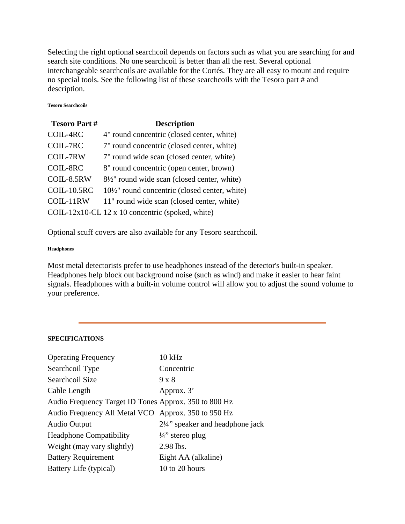Selecting the right optional searchcoil depends on factors such as what you are searching for and search site conditions. No one searchcoil is better than all the rest. Several optional interchangeable searchcoils are available for the Cortés. They are all easy to mount and require no special tools. See the following list of these searchcoils with the Tesoro part # and description.

### **Tesoro Searchcoils**

| <b>Tesoro Part#</b> | <b>Description</b>                                        |
|---------------------|-----------------------------------------------------------|
| COIL-4RC            | 4" round concentric (closed center, white)                |
| COIL-7RC            | 7" round concentric (closed center, white)                |
| <b>COIL-7RW</b>     | 7" round wide scan (closed center, white)                 |
| COIL-8RC            | 8" round concentric (open center, brown)                  |
| COIL-8.5RW          | $8\frac{1}{2}$ " round wide scan (closed center, white)   |
| <b>COIL-10.5RC</b>  | $10\frac{1}{2}$ " round concentric (closed center, white) |
| COIL-11RW           | 11" round wide scan (closed center, white)                |
|                     | COIL-12x10-CL 12 x 10 concentric (spoked, white)          |

Optional scuff covers are also available for any Tesoro searchcoil.

#### **Headphones**

Most metal detectorists prefer to use headphones instead of the detector's built-in speaker. Headphones help block out background noise (such as wind) and make it easier to hear faint signals. Headphones with a built-in volume control will allow you to adjust the sound volume to your preference.

## **SPECIFICATIONS**

| <b>Operating Frequency</b>                            | $10$ kHz                                    |
|-------------------------------------------------------|---------------------------------------------|
| Searchcoil Type                                       | Concentric                                  |
| Searchcoil Size                                       | $9 \times 8$                                |
| Cable Length                                          | Approx. 3'                                  |
| Audio Frequency Target ID Tones Approx. 350 to 800 Hz |                                             |
| Audio Frequency All Metal VCO Approx. 350 to 950 Hz   |                                             |
| Audio Output                                          | $2\frac{1}{4}$ " speaker and headphone jack |
| <b>Headphone Compatibility</b>                        | $\frac{1}{4}$ stereo plug                   |
| Weight (may vary slightly)                            | 2.98 lbs.                                   |
| <b>Battery Requirement</b>                            | Eight AA (alkaline)                         |
| Battery Life (typical)                                | 10 to 20 hours                              |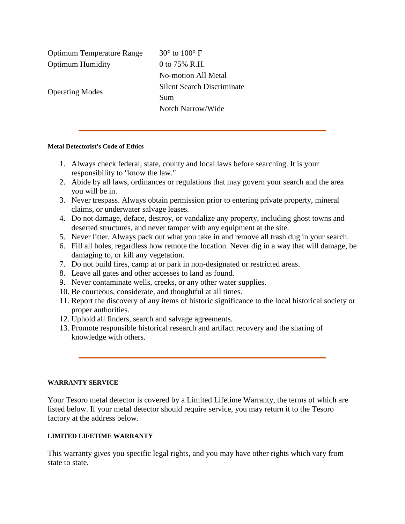Optimum Temperature Range  $30^{\circ}$  to  $100^{\circ}$  F Optimum Humidity 0 to 75% R.H. Operating Modes No-motion All Metal Silent Search Discriminate Sum Notch Narrow/Wide

### **Metal Detectorist's Code of Ethics**

- 1. Always check federal, state, county and local laws before searching. It is your responsibility to "know the law."
- 2. Abide by all laws, ordinances or regulations that may govern your search and the area you will be in.
- 3. Never trespass. Always obtain permission prior to entering private property, mineral claims, or underwater salvage leases.
- 4. Do not damage, deface, destroy, or vandalize any property, including ghost towns and deserted structures, and never tamper with any equipment at the site.
- 5. Never litter. Always pack out what you take in and remove all trash dug in your search.
- 6. Fill all holes, regardless how remote the location. Never dig in a way that will damage, be damaging to, or kill any vegetation.
- 7. Do not build fires, camp at or park in non-designated or restricted areas.
- 8. Leave all gates and other accesses to land as found.
- 9. Never contaminate wells, creeks, or any other water supplies.
- 10. Be courteous, considerate, and thoughtful at all times.
- 11. Report the discovery of any items of historic significance to the local historical society or proper authorities.
- 12. Uphold all finders, search and salvage agreements.
- 13. Promote responsible historical research and artifact recovery and the sharing of knowledge with others.

## **WARRANTY SERVICE**

Your Tesoro metal detector is covered by a Limited Lifetime Warranty, the terms of which are listed below. If your metal detector should require service, you may return it to the Tesoro factory at the address below.

## **LIMITED LIFETIME WARRANTY**

This warranty gives you specific legal rights, and you may have other rights which vary from state to state.